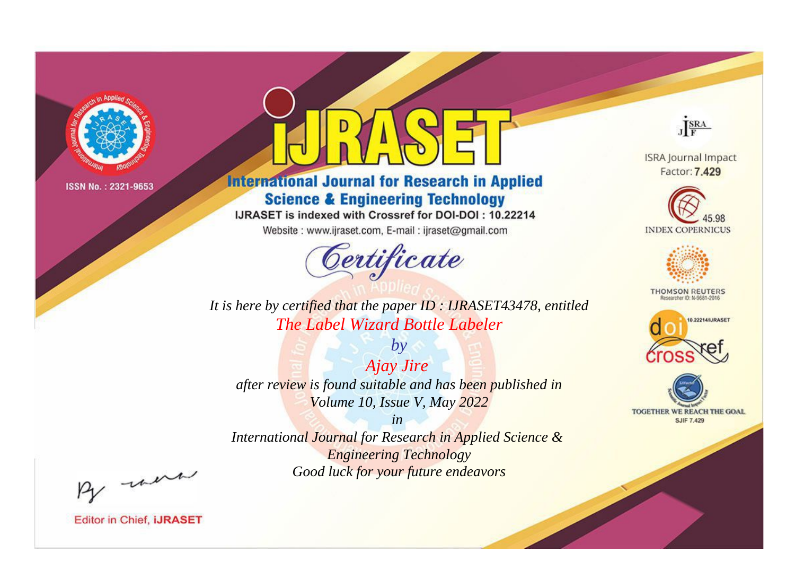

# **International Journal for Research in Applied Science & Engineering Technology**

IJRASET is indexed with Crossref for DOI-DOI: 10.22214

Website: www.ijraset.com, E-mail: ijraset@gmail.com



JERA

**ISRA Journal Impact** Factor: 7.429





**THOMSON REUTERS** 



TOGETHER WE REACH THE GOAL **SJIF 7.429** 

*It is here by certified that the paper ID : IJRASET43478, entitled The Label Wizard Bottle Labeler*

*Ajay Jire after review is found suitable and has been published in Volume 10, Issue V, May 2022*

*by*

*in* 

*International Journal for Research in Applied Science & Engineering Technology Good luck for your future endeavors*

By morn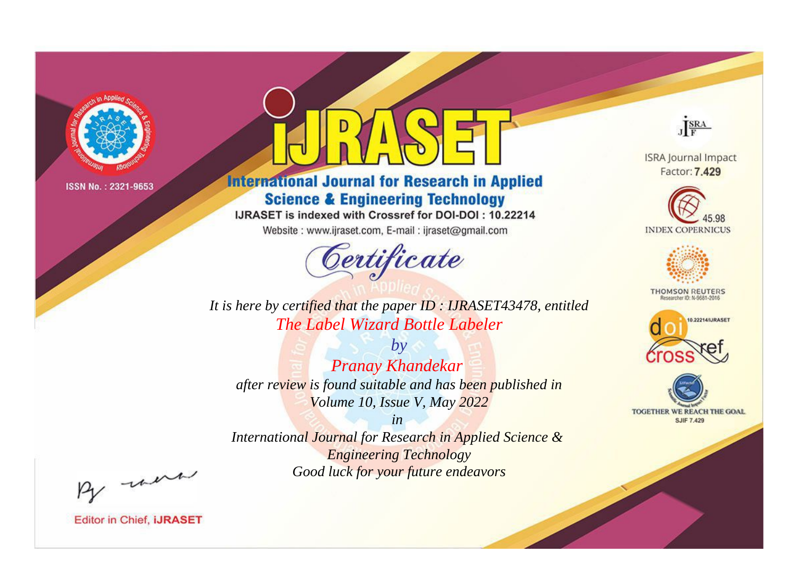

# **International Journal for Research in Applied Science & Engineering Technology**

IJRASET is indexed with Crossref for DOI-DOI: 10.22214

Website: www.ijraset.com, E-mail: ijraset@gmail.com



JERA

**ISRA Journal Impact** Factor: 7.429





**THOMSON REUTERS** 



TOGETHER WE REACH THE GOAL **SJIF 7.429** 

*It is here by certified that the paper ID : IJRASET43478, entitled The Label Wizard Bottle Labeler*

*by Pranay Khandekar after review is found suitable and has been published in Volume 10, Issue V, May 2022*

*in* 

*International Journal for Research in Applied Science & Engineering Technology Good luck for your future endeavors*

By morn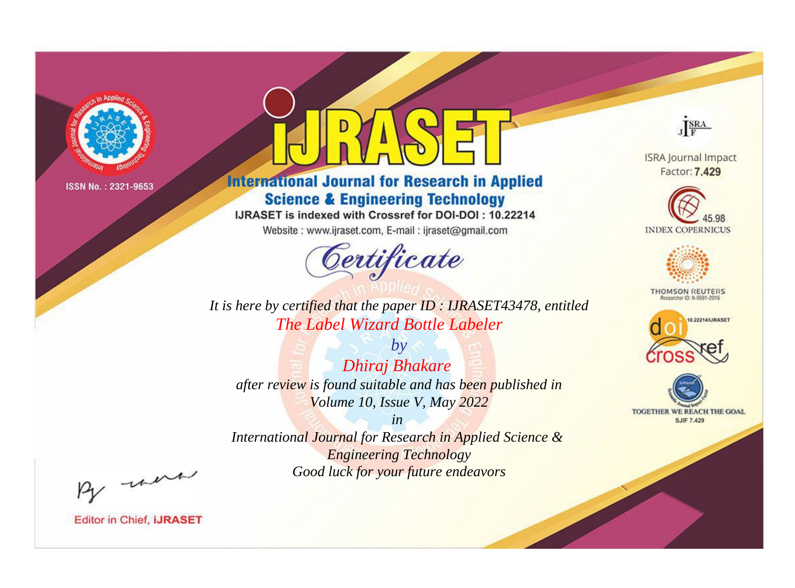

# **International Journal for Research in Applied Science & Engineering Technology**

IJRASET is indexed with Crossref for DOI-DOI: 10.22214

Website: www.ijraset.com, E-mail: ijraset@gmail.com



JERA

**ISRA Journal Impact** Factor: 7.429





**THOMSON REUTERS** 



TOGETHER WE REACH THE GOAL **SJIF 7.429** 

*It is here by certified that the paper ID : IJRASET43478, entitled The Label Wizard Bottle Labeler*

*by Dhiraj Bhakare after review is found suitable and has been published in Volume 10, Issue V, May 2022*

*in* 

*International Journal for Research in Applied Science & Engineering Technology Good luck for your future endeavors*

By morn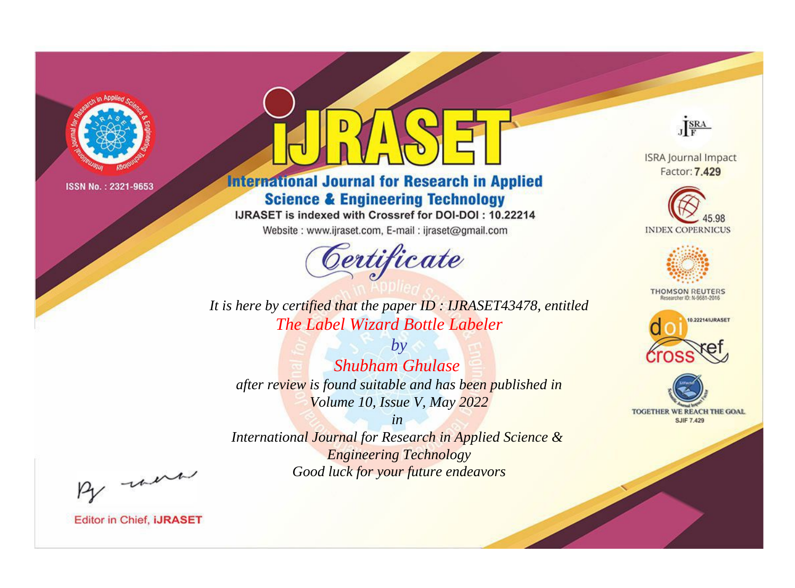

# **International Journal for Research in Applied Science & Engineering Technology**

IJRASET is indexed with Crossref for DOI-DOI: 10.22214

Website: www.ijraset.com, E-mail: ijraset@gmail.com



JERA

**ISRA Journal Impact** Factor: 7.429





**THOMSON REUTERS** 



TOGETHER WE REACH THE GOAL **SJIF 7.429** 

*It is here by certified that the paper ID : IJRASET43478, entitled The Label Wizard Bottle Labeler*

*by Shubham Ghulase after review is found suitable and has been published in Volume 10, Issue V, May 2022*

*in* 

*International Journal for Research in Applied Science & Engineering Technology Good luck for your future endeavors*

By morn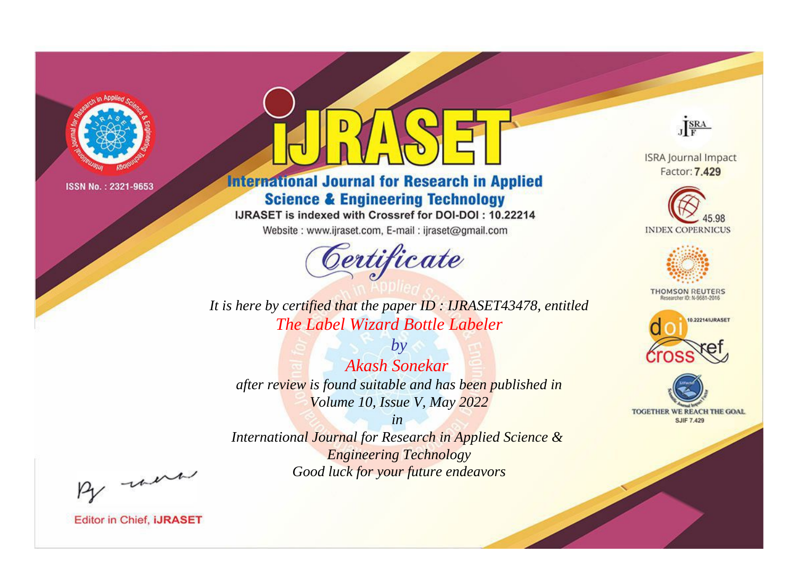

# **International Journal for Research in Applied Science & Engineering Technology**

IJRASET is indexed with Crossref for DOI-DOI: 10.22214

Website: www.ijraset.com, E-mail: ijraset@gmail.com



JERA

**ISRA Journal Impact** Factor: 7.429





**THOMSON REUTERS** 



TOGETHER WE REACH THE GOAL **SJIF 7.429** 

*It is here by certified that the paper ID : IJRASET43478, entitled The Label Wizard Bottle Labeler*

*by Akash Sonekar after review is found suitable and has been published in Volume 10, Issue V, May 2022*

*in* 

*International Journal for Research in Applied Science & Engineering Technology Good luck for your future endeavors*

By morn